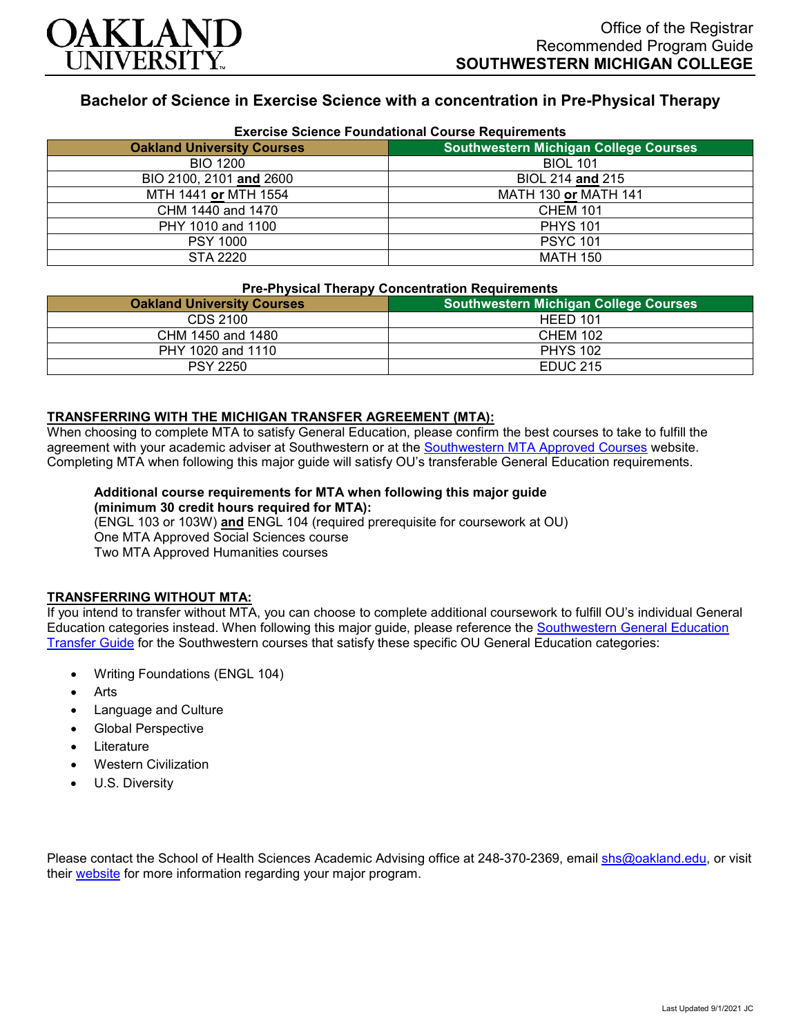

# **Bachelor of Science in Exercise Science with a concentration in Pre-Physical Therapy**

| <b>Exercise Science Foundational Course Requirements</b> |                                              |
|----------------------------------------------------------|----------------------------------------------|
| <b>Oakland University Courses</b>                        | <b>Southwestern Michigan College Courses</b> |
| <b>BIO 1200</b>                                          | <b>BIOL 101</b>                              |
| BIO 2100, 2101 and 2600                                  | BIOL 214 and 215                             |
| MTH 1441 or MTH 1554                                     | <b>MATH 130 or MATH 141</b>                  |
| CHM 1440 and 1470                                        | <b>CHEM 101</b>                              |
| PHY 1010 and 1100                                        | <b>PHYS 101</b>                              |
| <b>PSY 1000</b>                                          | <b>PSYC 101</b>                              |
| STA 2220                                                 | <b>MATH 150</b>                              |

#### **Pre-Physical Therapy Concentration Requirements**

| _______________________           |                                              |
|-----------------------------------|----------------------------------------------|
| <b>Oakland University Courses</b> | <b>Southwestern Michigan College Courses</b> |
| CDS 2100                          | HEED 101                                     |
| CHM 1450 and 1480                 | <b>CHEM 102</b>                              |
| PHY 1020 and 1110                 | <b>PHYS 102</b>                              |
| <b>PSY 2250</b>                   | <b>EDUC 215</b>                              |

## **TRANSFERRING WITH THE MICHIGAN TRANSFER AGREEMENT (MTA):**

When choosing to complete MTA to satisfy General Education, please confirm the best courses to take to fulfill the agreement with your academic adviser at Southwestern or at the [Southwestern MTA Approved Courses](https://www.swmich.edu/media/website/content-assets/documents/mta-ADA.pdf) website. Completing MTA when following this major guide will satisfy OU's transferable General Education requirements.

#### **Additional course requirements for MTA when following this major guide (minimum 30 credit hours required for MTA):**

(ENGL 103 or 103W) **and** ENGL 104 (required prerequisite for coursework at OU) One MTA Approved Social Sciences course Two MTA Approved Humanities courses

### **TRANSFERRING WITHOUT MTA:**

If you intend to transfer without MTA, you can choose to complete additional coursework to fulfill OU's individual General Education categories instead. When following this major guide, please reference the [Southwestern General Education](https://www.oakland.edu/Assets/Oakland/program-guides/southwestern-michigan-college/university-general-education-requirements/Southwestern%20Gen%20Ed.pdf)  [Transfer Guide](https://www.oakland.edu/Assets/Oakland/program-guides/southwestern-michigan-college/university-general-education-requirements/Southwestern%20Gen%20Ed.pdf) for the Southwestern courses that satisfy these specific OU General Education categories:

- Writing Foundations (ENGL 104)
- **Arts**
- Language and Culture
- Global Perspective
- **Literature**
- Western Civilization
- U.S. Diversity

Please contact the School of Health Sciences Academic Advising office at 248-370-2369, email [shs@oakland.edu,](mailto:shs@oakland.edu) or visit their [website](http://www.oakland.edu/shs/advising) for more information regarding your major program.